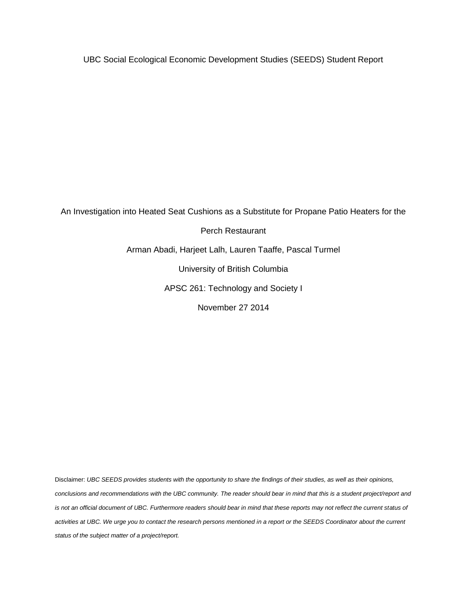UBC Social Ecological Economic Development Studies (SEEDS) Student Report

An Investigation into Heated Seat Cushions as a Substitute for Propane Patio Heaters for the

Perch Restaurant

Arman Abadi, Harjeet Lalh, Lauren Taaffe, Pascal Turmel

University of British Columbia

APSC 261: Technology and Society I

November 27 2014

Disclaimer: *UBC SEEDS provides students with the opportunity to share the findings of their studies, as well as their opinions, conclusions and recommendations with the UBC community. The reader should bear in mind that this is a student project/report and is not an official document of UBC. Furthermore readers should bear in mind that these reports may not reflect the current status of activities at UBC. We urge you to contact the research persons mentioned in a report or the SEEDS Coordinator about the current status of the subject matter of a project/report.*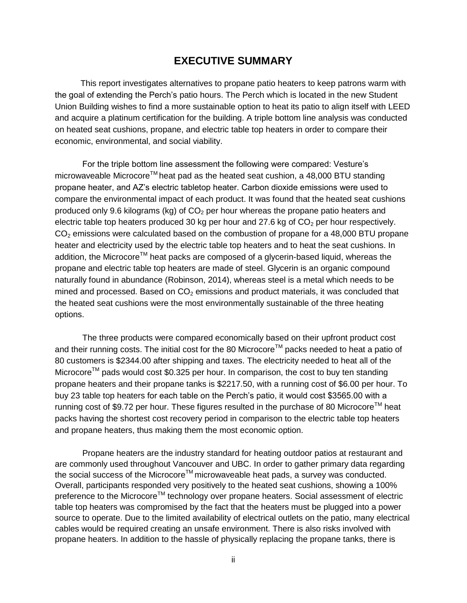### **EXECUTIVE SUMMARY**

 This report investigates alternatives to propane patio heaters to keep patrons warm with the goal of extending the Perch's patio hours. The Perch which is located in the new Student Union Building wishes to find a more sustainable option to heat its patio to align itself with LEED and acquire a platinum certification for the building. A triple bottom line analysis was conducted on heated seat cushions, propane, and electric table top heaters in order to compare their economic, environmental, and social viability.

For the triple bottom line assessment the following were compared: Vesture's microwaveable Microcore<sup>TM</sup> heat pad as the heated seat cushion, a 48,000 BTU standing propane heater, and AZ's electric tabletop heater. Carbon dioxide emissions were used to compare the environmental impact of each product. It was found that the heated seat cushions produced only 9.6 kilograms (kg) of  $CO<sub>2</sub>$  per hour whereas the propane patio heaters and electric table top heaters produced 30 kg per hour and 27.6 kg of  $CO<sub>2</sub>$  per hour respectively.  $CO<sub>2</sub>$  emissions were calculated based on the combustion of propane for a 48,000 BTU propane heater and electricity used by the electric table top heaters and to heat the seat cushions. In addition, the Microcore™ heat packs are composed of a glycerin-based liquid, whereas the propane and electric table top heaters are made of steel. Glycerin is an organic compound naturally found in abundance (Robinson, 2014), whereas steel is a metal which needs to be mined and processed. Based on  $CO<sub>2</sub>$  emissions and product materials, it was concluded that the heated seat cushions were the most environmentally sustainable of the three heating options.

The three products were compared economically based on their upfront product cost and their running costs. The initial cost for the 80 Microcore<sup>TM</sup> packs needed to heat a patio of 80 customers is \$2344.00 after shipping and taxes. The electricity needed to heat all of the Microcore<sup>TM</sup> pads would cost \$0.325 per hour. In comparison, the cost to buy ten standing propane heaters and their propane tanks is \$2217.50, with a running cost of \$6.00 per hour. To buy 23 table top heaters for each table on the Perch's patio, it would cost \$3565.00 with a running cost of \$9.72 per hour. These figures resulted in the purchase of 80 Microcore™ heat packs having the shortest cost recovery period in comparison to the electric table top heaters and propane heaters, thus making them the most economic option.

Propane heaters are the industry standard for heating outdoor patios at restaurant and are commonly used throughout Vancouver and UBC. In order to gather primary data regarding the social success of the Microcore™ microwaveable heat pads, a survey was conducted. Overall, participants responded very positively to the heated seat cushions, showing a 100% preference to the Microcore™ technology over propane heaters. Social assessment of electric table top heaters was compromised by the fact that the heaters must be plugged into a power source to operate. Due to the limited availability of electrical outlets on the patio, many electrical cables would be required creating an unsafe environment. There is also risks involved with propane heaters. In addition to the hassle of physically replacing the propane tanks, there is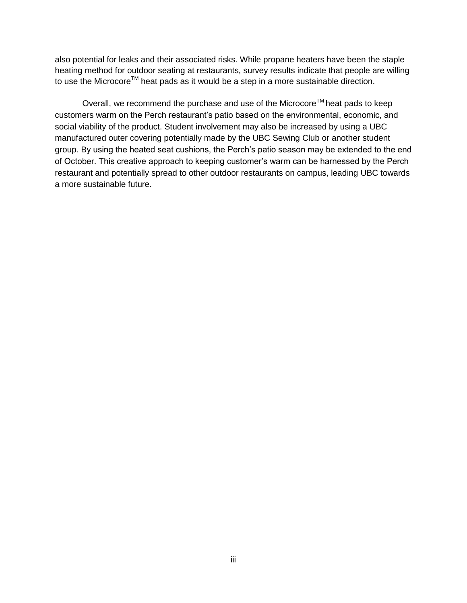also potential for leaks and their associated risks. While propane heaters have been the staple heating method for outdoor seating at restaurants, survey results indicate that people are willing to use the Microcore™ heat pads as it would be a step in a more sustainable direction.

Overall, we recommend the purchase and use of the Microcore™ heat pads to keep customers warm on the Perch restaurant's patio based on the environmental, economic, and social viability of the product. Student involvement may also be increased by using a UBC manufactured outer covering potentially made by the UBC Sewing Club or another student group. By using the heated seat cushions, the Perch's patio season may be extended to the end of October. This creative approach to keeping customer's warm can be harnessed by the Perch restaurant and potentially spread to other outdoor restaurants on campus, leading UBC towards a more sustainable future.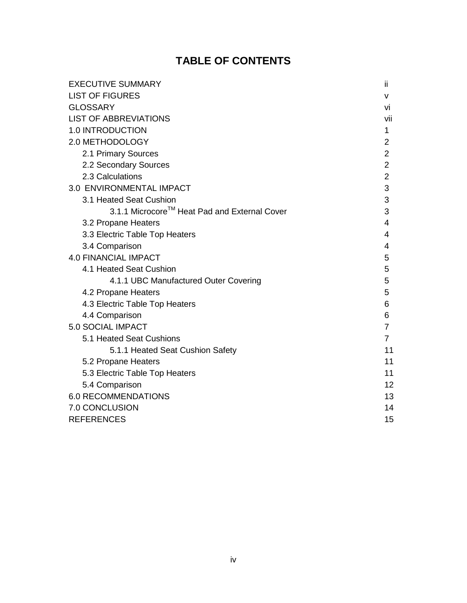# **TABLE OF CONTENTS**

| <b>EXECUTIVE SUMMARY</b>                     | ii             |
|----------------------------------------------|----------------|
| <b>LIST OF FIGURES</b>                       | v              |
| <b>GLOSSARY</b>                              | VI             |
| <b>LIST OF ABBREVIATIONS</b>                 | vii            |
| 1.0 INTRODUCTION                             | 1              |
| 2.0 METHODOLOGY                              | $\overline{2}$ |
| 2.1 Primary Sources                          | $\overline{2}$ |
| 2.2 Secondary Sources                        | $\overline{2}$ |
| 2.3 Calculations                             | $\overline{2}$ |
| 3.0 ENVIRONMENTAL IMPACT                     | 3              |
| 3.1 Heated Seat Cushion                      | 3              |
| 3.1.1 Microcore™ Heat Pad and External Cover | 3              |
| 3.2 Propane Heaters                          | 4              |
| 3.3 Electric Table Top Heaters               | 4              |
| 3.4 Comparison                               | 4              |
| <b>4.0 FINANCIAL IMPACT</b>                  | 5              |
| 4.1 Heated Seat Cushion                      | 5              |
| 4.1.1 UBC Manufactured Outer Covering        | 5              |
| 4.2 Propane Heaters                          | 5              |
| 4.3 Electric Table Top Heaters               | 6              |
| 4.4 Comparison                               | 6              |
| 5.0 SOCIAL IMPACT                            | $\overline{7}$ |
| 5.1 Heated Seat Cushions                     | $\overline{7}$ |
| 5.1.1 Heated Seat Cushion Safety             | 11             |
| 5.2 Propane Heaters                          | 11             |
| 5.3 Electric Table Top Heaters               | 11             |
| 5.4 Comparison                               | 12             |
| <b>6.0 RECOMMENDATIONS</b>                   | 13             |
| 7.0 CONCLUSION                               | 14             |
| <b>REFERENCES</b>                            | 15             |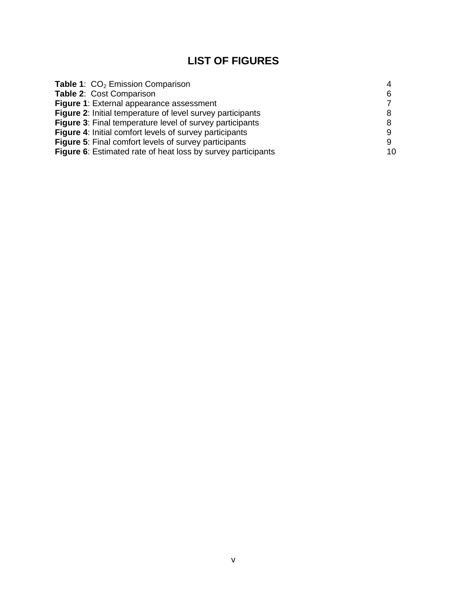# **LIST OF FIGURES**

| <b>Table 1:</b> $CO2$ Emission Comparison                           |    |
|---------------------------------------------------------------------|----|
| Table 2: Cost Comparison                                            |    |
| Figure 1: External appearance assessment                            |    |
| Figure 2: Initial temperature of level survey participants          |    |
| <b>Figure 3:</b> Final temperature level of survey participants     |    |
| <b>Figure 4: Initial comfort levels of survey participants</b>      |    |
| <b>Figure 5:</b> Final comfort levels of survey participants        | a  |
| <b>Figure 6:</b> Estimated rate of heat loss by survey participants | 10 |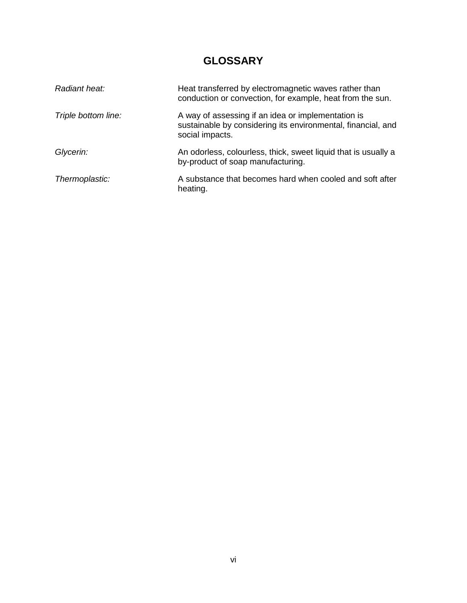# **GLOSSARY**

| Radiant heat:       | Heat transferred by electromagnetic waves rather than<br>conduction or convection, for example, heat from the sun.                    |
|---------------------|---------------------------------------------------------------------------------------------------------------------------------------|
| Triple bottom line: | A way of assessing if an idea or implementation is<br>sustainable by considering its environmental, financial, and<br>social impacts. |
| Glycerin:           | An odorless, colourless, thick, sweet liquid that is usually a<br>by-product of soap manufacturing.                                   |
| Thermoplastic:      | A substance that becomes hard when cooled and soft after<br>heating.                                                                  |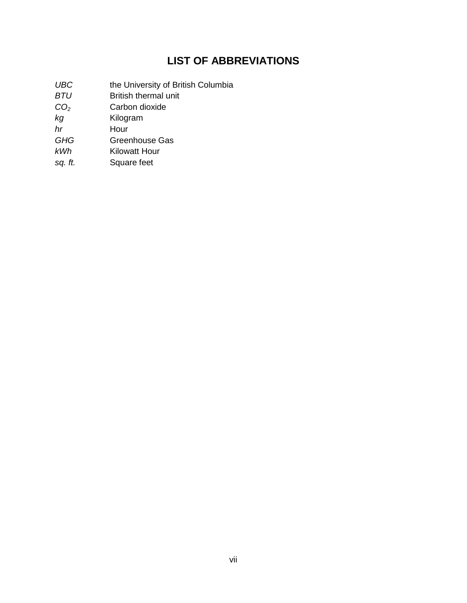# **LIST OF ABBREVIATIONS**

- *UBC* the University of British Columbia
- *BTU* British thermal unit
- *CO<sup>2</sup>* Carbon dioxide
- *kg* Kilogram
- *hr* Hour
- *GHG* Greenhouse Gas
- *kWh* Kilowatt Hour
- *sq. ft.* Square feet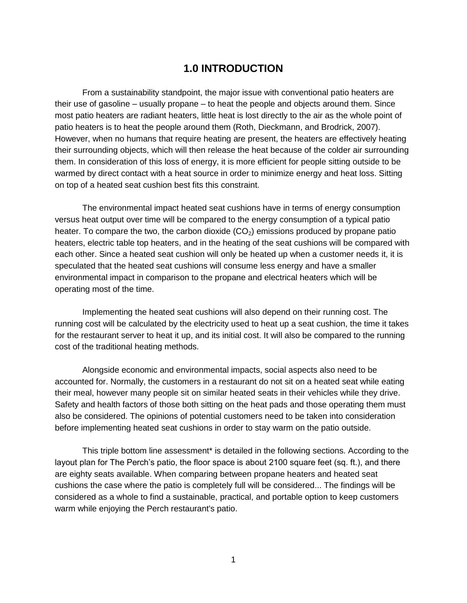### **1.0 INTRODUCTION**

From a sustainability standpoint, the major issue with conventional patio heaters are their use of gasoline – usually propane – to heat the people and objects around them. Since most patio heaters are radiant heaters, little heat is lost directly to the air as the whole point of patio heaters is to heat the people around them (Roth, Dieckmann, and Brodrick, 2007). However, when no humans that require heating are present, the heaters are effectively heating their surrounding objects, which will then release the heat because of the colder air surrounding them. In consideration of this loss of energy, it is more efficient for people sitting outside to be warmed by direct contact with a heat source in order to minimize energy and heat loss. Sitting on top of a heated seat cushion best fits this constraint.

The environmental impact heated seat cushions have in terms of energy consumption versus heat output over time will be compared to the energy consumption of a typical patio heater. To compare the two, the carbon dioxide  $(CO<sub>2</sub>)$  emissions produced by propane patio heaters, electric table top heaters, and in the heating of the seat cushions will be compared with each other. Since a heated seat cushion will only be heated up when a customer needs it, it is speculated that the heated seat cushions will consume less energy and have a smaller environmental impact in comparison to the propane and electrical heaters which will be operating most of the time.

Implementing the heated seat cushions will also depend on their running cost. The running cost will be calculated by the electricity used to heat up a seat cushion, the time it takes for the restaurant server to heat it up, and its initial cost. It will also be compared to the running cost of the traditional heating methods.

Alongside economic and environmental impacts, social aspects also need to be accounted for. Normally, the customers in a restaurant do not sit on a heated seat while eating their meal, however many people sit on similar heated seats in their vehicles while they drive. Safety and health factors of those both sitting on the heat pads and those operating them must also be considered. The opinions of potential customers need to be taken into consideration before implementing heated seat cushions in order to stay warm on the patio outside.

This triple bottom line assessment\* is detailed in the following sections. According to the layout plan for The Perch's patio, the floor space is about 2100 square feet (sq. ft.), and there are eighty seats available. When comparing between propane heaters and heated seat cushions the case where the patio is completely full will be considered... The findings will be considered as a whole to find a sustainable, practical, and portable option to keep customers warm while enjoying the Perch restaurant's patio.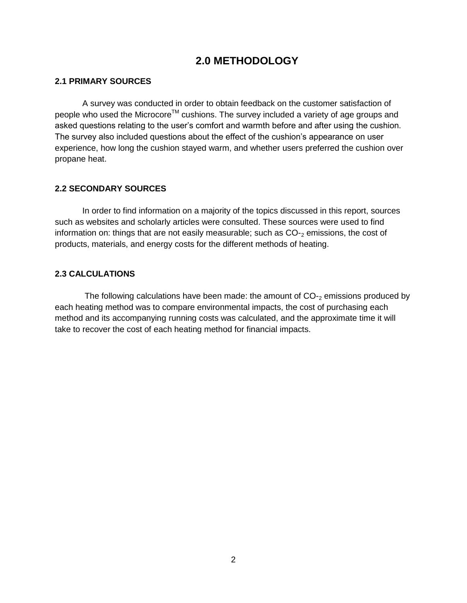## **2.0 METHODOLOGY**

#### **2.1 PRIMARY SOURCES**

A survey was conducted in order to obtain feedback on the customer satisfaction of people who used the Microcore™ cushions. The survey included a variety of age groups and asked questions relating to the user's comfort and warmth before and after using the cushion. The survey also included questions about the effect of the cushion's appearance on user experience, how long the cushion stayed warm, and whether users preferred the cushion over propane heat.

#### **2.2 SECONDARY SOURCES**

In order to find information on a majority of the topics discussed in this report, sources such as websites and scholarly articles were consulted. These sources were used to find information on: things that are not easily measurable; such as  $CO<sub>2</sub>$  emissions, the cost of products, materials, and energy costs for the different methods of heating.

#### **2.3 CALCULATIONS**

The following calculations have been made: the amount of  $CO_{2}$  emissions produced by each heating method was to compare environmental impacts, the cost of purchasing each method and its accompanying running costs was calculated, and the approximate time it will take to recover the cost of each heating method for financial impacts.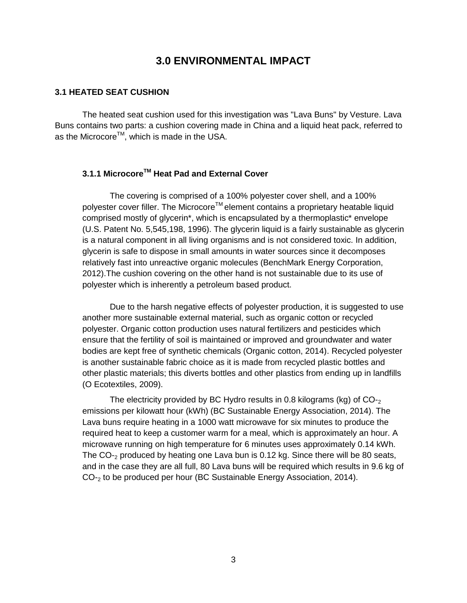### **3.0 ENVIRONMENTAL IMPACT**

#### **3.1 HEATED SEAT CUSHION**

The heated seat cushion used for this investigation was "Lava Buns" by Vesture. Lava Buns contains two parts: a cushion covering made in China and a liquid heat pack, referred to as the Microcore™, which is made in the USA.

## **3.1.1 MicrocoreTM Heat Pad and External Cover**

The covering is comprised of a 100% polyester cover shell, and a 100% polyester cover filler. The Microcore<sup>TM</sup> element contains a proprietary heatable liquid comprised mostly of glycerin\*, which is encapsulated by a thermoplastic\* envelope (U.S. Patent No. 5,545,198, 1996). The glycerin liquid is a fairly sustainable as glycerin is a natural component in all living organisms and is not considered toxic. In addition, glycerin is safe to dispose in small amounts in water sources since it decomposes relatively fast into unreactive organic molecules (BenchMark Energy Corporation, 2012).The cushion covering on the other hand is not sustainable due to its use of polyester which is inherently a petroleum based product.

Due to the harsh negative effects of polyester production, it is suggested to use another more sustainable external material, such as organic cotton or recycled polyester. Organic cotton production uses natural fertilizers and pesticides which ensure that the fertility of soil is maintained or improved and groundwater and water bodies are kept free of synthetic chemicals (Organic cotton, 2014). Recycled polyester is another sustainable fabric choice as it is made from recycled plastic bottles and other plastic materials; this diverts bottles and other plastics from ending up in landfills (O Ecotextiles, 2009).

The electricity provided by BC Hydro results in 0.8 kilograms (kg) of  $CO_{2}$ emissions per kilowatt hour (kWh) (BC Sustainable Energy Association, 2014). The Lava buns require heating in a 1000 watt microwave for six minutes to produce the required heat to keep a customer warm for a meal, which is approximately an hour. A microwave running on high temperature for 6 minutes uses approximately 0.14 kWh. The CO-<sup>2</sup> produced by heating one Lava bun is 0.12 kg. Since there will be 80 seats, and in the case they are all full, 80 Lava buns will be required which results in 9.6 kg of CO-<sub>2</sub> to be produced per hour (BC Sustainable Energy Association, 2014).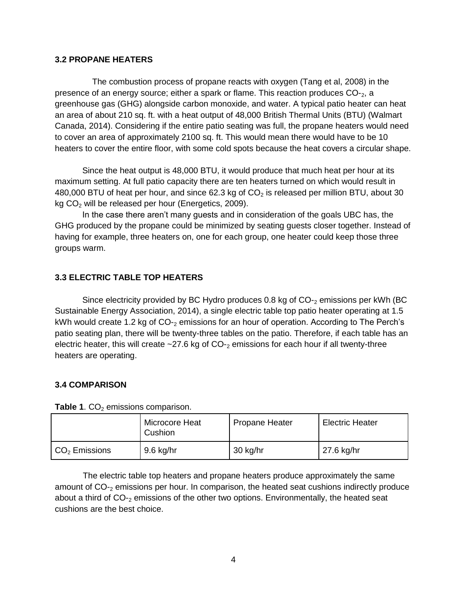#### **3.2 PROPANE HEATERS**

 The combustion process of propane reacts with oxygen (Tang et al, 2008) in the presence of an energy source; either a spark or flame. This reaction produces  $CO_{2}$ , a greenhouse gas (GHG) alongside carbon monoxide, and water. A typical patio heater can heat an area of about 210 sq. ft. with a heat output of 48,000 British Thermal Units (BTU) (Walmart Canada, 2014). Considering if the entire patio seating was full, the propane heaters would need to cover an area of approximately 2100 sq. ft. This would mean there would have to be 10 heaters to cover the entire floor, with some cold spots because the heat covers a circular shape.

Since the heat output is 48,000 BTU, it would produce that much heat per hour at its maximum setting. At full patio capacity there are ten heaters turned on which would result in 480,000 BTU of heat per hour, and since 62.3 kg of  $CO<sub>2</sub>$  is released per million BTU, about 30  $kg CO<sub>2</sub>$  will be released per hour (Energetics, 2009).

In the case there aren't many guests and in consideration of the goals UBC has, the GHG produced by the propane could be minimized by seating guests closer together. Instead of having for example, three heaters on, one for each group, one heater could keep those three groups warm.

#### **3.3 ELECTRIC TABLE TOP HEATERS**

Since electricity provided by BC Hydro produces 0.8 kg of  $CO<sub>-2</sub>$  emissions per kWh (BC Sustainable Energy Association, 2014), a single electric table top patio heater operating at 1.5 kWh would create 1.2 kg of  $CO_{2}$  emissions for an hour of operation. According to The Perch's patio seating plan, there will be twenty-three tables on the patio. Therefore, if each table has an electric heater, this will create  $\sim$ 27.6 kg of CO-<sub>2</sub> emissions for each hour if all twenty-three heaters are operating.

#### **3.4 COMPARISON**

Table 1. CO<sub>2</sub> emissions comparison.

|                 | Microcore Heat<br>Cushion | <b>Propane Heater</b> | <b>Electric Heater</b> |
|-----------------|---------------------------|-----------------------|------------------------|
| $CO2$ Emissions | $9.6$ kg/hr               | 30 kg/hr              | 27.6 kg/hr             |

 The electric table top heaters and propane heaters produce approximately the same amount of  $CO_{2}$  emissions per hour. In comparison, the heated seat cushions indirectly produce about a third of  $CO_{2}$  emissions of the other two options. Environmentally, the heated seat cushions are the best choice.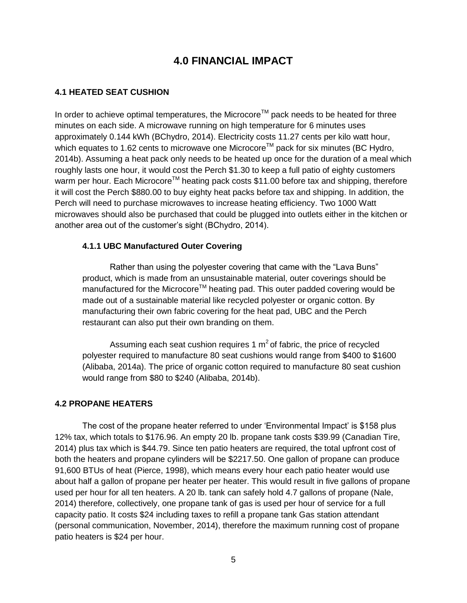## **4.0 FINANCIAL IMPACT**

#### **4.1 HEATED SEAT CUSHION**

In order to achieve optimal temperatures, the Microcore<sup>TM</sup> pack needs to be heated for three minutes on each side. A microwave running on high temperature for 6 minutes uses approximately 0.144 kWh (BChydro, 2014). Electricity costs 11.27 cents per kilo watt hour, which equates to 1.62 cents to microwave one Microcore<sup>TM</sup> pack for six minutes (BC Hydro, 2014b). Assuming a heat pack only needs to be heated up once for the duration of a meal which roughly lasts one hour, it would cost the Perch \$1.30 to keep a full patio of eighty customers warm per hour. Each Microcore™ heating pack costs \$11.00 before tax and shipping, therefore it will cost the Perch \$880.00 to buy eighty heat packs before tax and shipping. In addition, the Perch will need to purchase microwaves to increase heating efficiency. Two 1000 Watt microwaves should also be purchased that could be plugged into outlets either in the kitchen or another area out of the customer's sight (BChydro, 2014).

#### **4.1.1 UBC Manufactured Outer Covering**

Rather than using the polyester covering that came with the "Lava Buns" product, which is made from an unsustainable material, outer coverings should be manufactured for the Microcore™ heating pad. This outer padded covering would be made out of a sustainable material like recycled polyester or organic cotton. By manufacturing their own fabric covering for the heat pad, UBC and the Perch restaurant can also put their own branding on them.

Assuming each seat cushion requires 1  $m<sup>2</sup>$  of fabric, the price of recycled polyester required to manufacture 80 seat cushions would range from \$400 to \$1600 (Alibaba, 2014a). The price of organic cotton required to manufacture 80 seat cushion would range from \$80 to \$240 (Alibaba, 2014b).

#### **4.2 PROPANE HEATERS**

The cost of the propane heater referred to under 'Environmental Impact' is \$158 plus 12% tax, which totals to \$176.96. An empty 20 lb. propane tank costs \$39.99 (Canadian Tire, 2014) plus tax which is \$44.79. Since ten patio heaters are required, the total upfront cost of both the heaters and propane cylinders will be \$2217.50. One gallon of propane can produce 91,600 BTUs of heat (Pierce, 1998), which means every hour each patio heater would use about half a gallon of propane per heater per heater. This would result in five gallons of propane used per hour for all ten heaters. A 20 lb. tank can safely hold 4.7 gallons of propane (Nale, 2014) therefore, collectively, one propane tank of gas is used per hour of service for a full capacity patio. It costs \$24 including taxes to refill a propane tank Gas station attendant (personal communication, November, 2014), therefore the maximum running cost of propane patio heaters is \$24 per hour.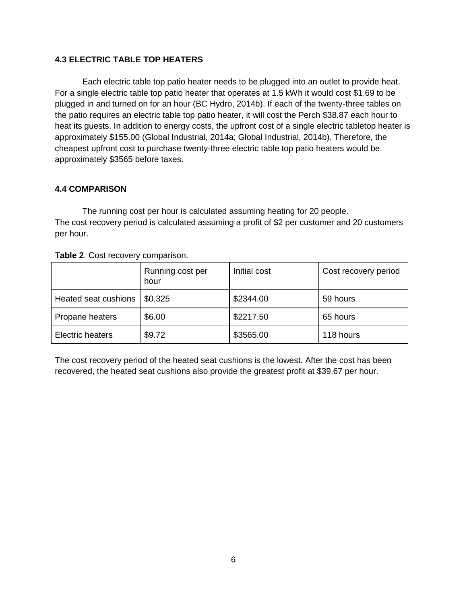#### **4.3 ELECTRIC TABLE TOP HEATERS**

Each electric table top patio heater needs to be plugged into an outlet to provide heat. For a single electric table top patio heater that operates at 1.5 kWh it would cost \$1.69 to be plugged in and turned on for an hour (BC Hydro, 2014b). If each of the twenty-three tables on the patio requires an electric table top patio heater, it will cost the Perch \$38.87 each hour to heat its guests. In addition to energy costs, the upfront cost of a single electric tabletop heater is approximately \$155.00 (Global Industrial, 2014a; Global Industrial, 2014b). Therefore, the cheapest upfront cost to purchase twenty-three electric table top patio heaters would be approximately \$3565 before taxes.

#### **4.4 COMPARISON**

The running cost per hour is calculated assuming heating for 20 people. The cost recovery period is calculated assuming a profit of \$2 per customer and 20 customers per hour.

| Table 2. Cost recovery comparison. |  |
|------------------------------------|--|
|------------------------------------|--|

|                      | Running cost per<br>hour | Initial cost | Cost recovery period |
|----------------------|--------------------------|--------------|----------------------|
| Heated seat cushions | \$0.325                  | \$2344.00    | 59 hours             |
| Propane heaters      | \$6.00                   | \$2217.50    | 65 hours             |
| Electric heaters     | \$9.72                   | \$3565.00    | 118 hours            |

The cost recovery period of the heated seat cushions is the lowest. After the cost has been recovered, the heated seat cushions also provide the greatest profit at \$39.67 per hour.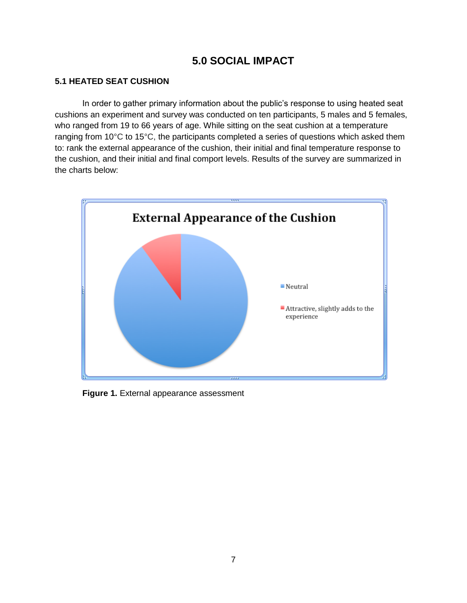## **5.0 SOCIAL IMPACT**

#### **5.1 HEATED SEAT CUSHION**

In order to gather primary information about the public's response to using heated seat cushions an experiment and survey was conducted on ten participants, 5 males and 5 females, who ranged from 19 to 66 years of age. While sitting on the seat cushion at a temperature ranging from 10°C to 15°C, the participants completed a series of questions which asked them to: rank the external appearance of the cushion, their initial and final temperature response to the cushion, and their initial and final comport levels. Results of the survey are summarized in the charts below:



**Figure 1.** External appearance assessment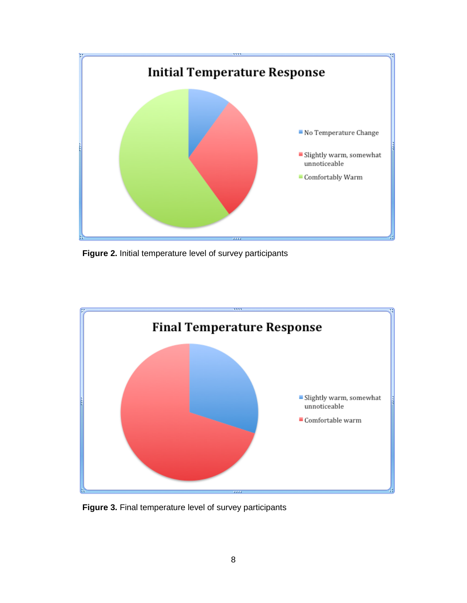

**Figure 2.** Initial temperature level of survey participants



**Figure 3.** Final temperature level of survey participants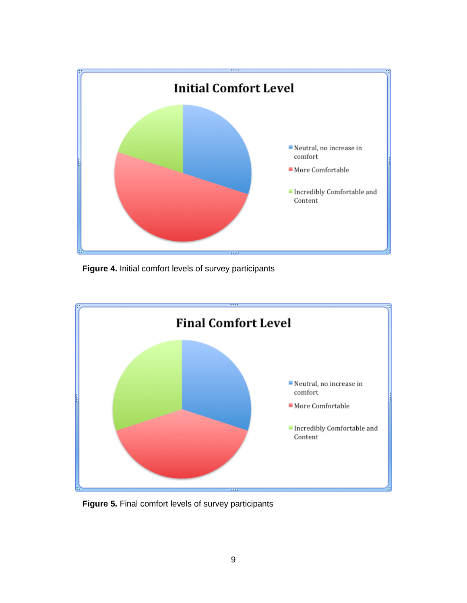

**Figure 4.** Initial comfort levels of survey participants



**Figure 5.** Final comfort levels of survey participants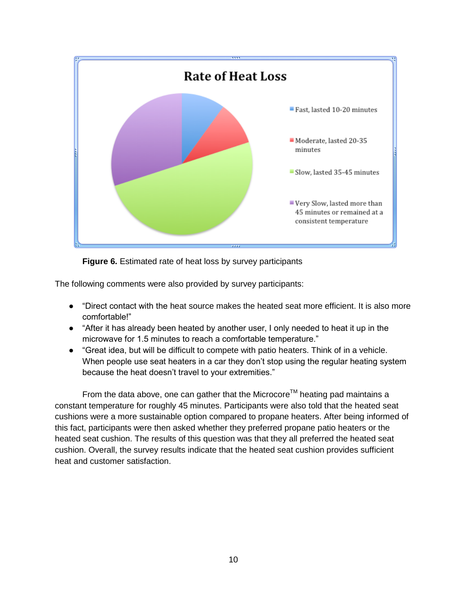

**Figure 6.** Estimated rate of heat loss by survey participants

The following comments were also provided by survey participants:

- "Direct contact with the heat source makes the heated seat more efficient. It is also more comfortable!"
- "After it has already been heated by another user, I only needed to heat it up in the microwave for 1.5 minutes to reach a comfortable temperature."
- "Great idea, but will be difficult to compete with patio heaters. Think of in a vehicle. When people use seat heaters in a car they don't stop using the regular heating system because the heat doesn't travel to your extremities."

From the data above, one can gather that the Microcore<sup>TM</sup> heating pad maintains a constant temperature for roughly 45 minutes. Participants were also told that the heated seat cushions were a more sustainable option compared to propane heaters. After being informed of this fact, participants were then asked whether they preferred propane patio heaters or the heated seat cushion. The results of this question was that they all preferred the heated seat cushion. Overall, the survey results indicate that the heated seat cushion provides sufficient heat and customer satisfaction.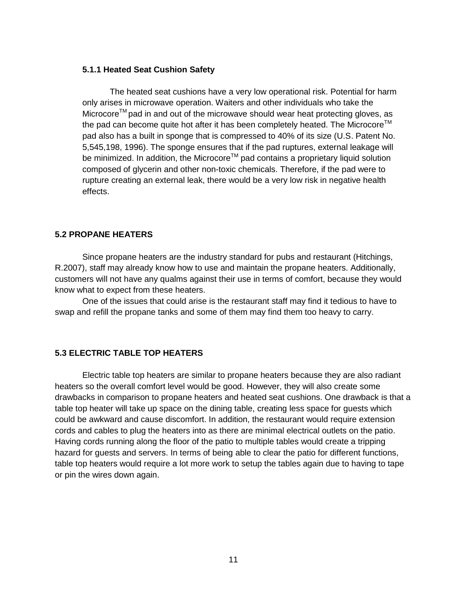#### **5.1.1 Heated Seat Cushion Safety**

The heated seat cushions have a very low operational risk. Potential for harm only arises in microwave operation. Waiters and other individuals who take the Microcore<sup>TM</sup> pad in and out of the microwave should wear heat protecting gloves, as the pad can become quite hot after it has been completely heated. The Microcore<sup>TM</sup> pad also has a built in sponge that is compressed to 40% of its size (U.S. Patent No. 5,545,198, 1996). The sponge ensures that if the pad ruptures, external leakage will be minimized. In addition, the Microcore<sup>TM</sup> pad contains a proprietary liquid solution composed of glycerin and other non-toxic chemicals. Therefore, if the pad were to rupture creating an external leak, there would be a very low risk in negative health effects.

#### **5.2 PROPANE HEATERS**

Since propane heaters are the industry standard for pubs and restaurant (Hitchings, R.2007), staff may already know how to use and maintain the propane heaters. Additionally, customers will not have any qualms against their use in terms of comfort, because they would know what to expect from these heaters.

One of the issues that could arise is the restaurant staff may find it tedious to have to swap and refill the propane tanks and some of them may find them too heavy to carry.

#### **5.3 ELECTRIC TABLE TOP HEATERS**

Electric table top heaters are similar to propane heaters because they are also radiant heaters so the overall comfort level would be good. However, they will also create some drawbacks in comparison to propane heaters and heated seat cushions. One drawback is that a table top heater will take up space on the dining table, creating less space for guests which could be awkward and cause discomfort. In addition, the restaurant would require extension cords and cables to plug the heaters into as there are minimal electrical outlets on the patio. Having cords running along the floor of the patio to multiple tables would create a tripping hazard for guests and servers. In terms of being able to clear the patio for different functions, table top heaters would require a lot more work to setup the tables again due to having to tape or pin the wires down again.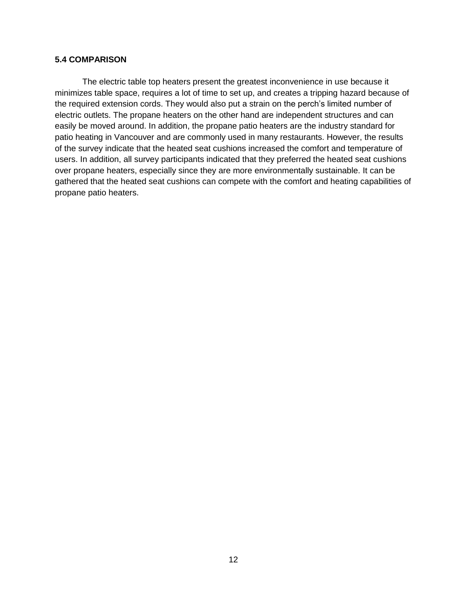#### **5.4 COMPARISON**

The electric table top heaters present the greatest inconvenience in use because it minimizes table space, requires a lot of time to set up, and creates a tripping hazard because of the required extension cords. They would also put a strain on the perch's limited number of electric outlets. The propane heaters on the other hand are independent structures and can easily be moved around. In addition, the propane patio heaters are the industry standard for patio heating in Vancouver and are commonly used in many restaurants. However, the results of the survey indicate that the heated seat cushions increased the comfort and temperature of users. In addition, all survey participants indicated that they preferred the heated seat cushions over propane heaters, especially since they are more environmentally sustainable. It can be gathered that the heated seat cushions can compete with the comfort and heating capabilities of propane patio heaters.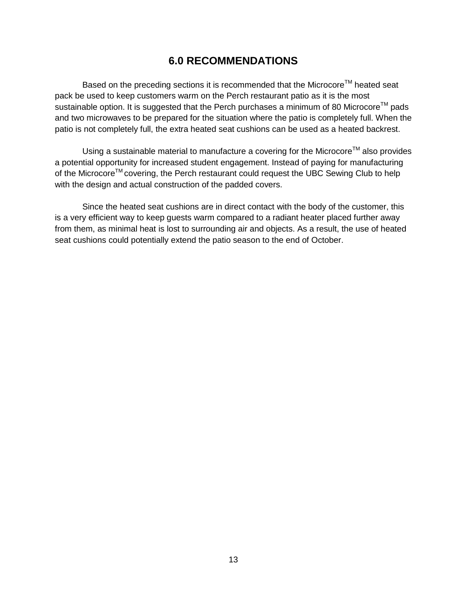## **6.0 RECOMMENDATIONS**

Based on the preceding sections it is recommended that the Microcore™ heated seat pack be used to keep customers warm on the Perch restaurant patio as it is the most sustainable option. It is suggested that the Perch purchases a minimum of 80 Microcore<sup>TM</sup> pads and two microwaves to be prepared for the situation where the patio is completely full. When the patio is not completely full, the extra heated seat cushions can be used as a heated backrest.

Using a sustainable material to manufacture a covering for the Microcore<sup>TM</sup> also provides a potential opportunity for increased student engagement. Instead of paying for manufacturing of the Microcore<sup>TM</sup> covering, the Perch restaurant could request the UBC Sewing Club to help with the design and actual construction of the padded covers.

Since the heated seat cushions are in direct contact with the body of the customer, this is a very efficient way to keep guests warm compared to a radiant heater placed further away from them, as minimal heat is lost to surrounding air and objects. As a result, the use of heated seat cushions could potentially extend the patio season to the end of October.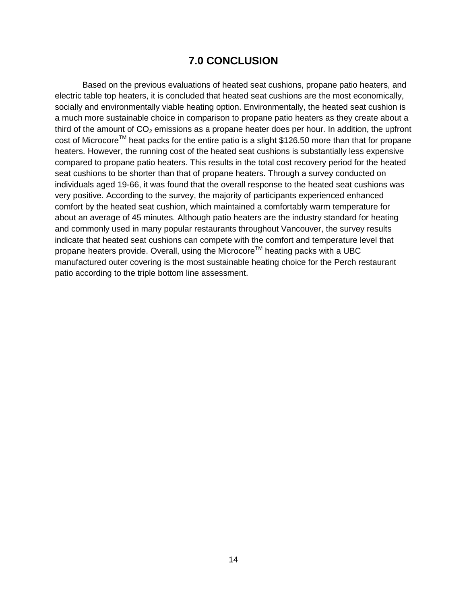### **7.0 CONCLUSION**

Based on the previous evaluations of heated seat cushions, propane patio heaters, and electric table top heaters, it is concluded that heated seat cushions are the most economically, socially and environmentally viable heating option. Environmentally, the heated seat cushion is a much more sustainable choice in comparison to propane patio heaters as they create about a third of the amount of  $CO<sub>2</sub>$  emissions as a propane heater does per hour. In addition, the upfront cost of Microcore™ heat packs for the entire patio is a slight \$126.50 more than that for propane heaters. However, the running cost of the heated seat cushions is substantially less expensive compared to propane patio heaters. This results in the total cost recovery period for the heated seat cushions to be shorter than that of propane heaters. Through a survey conducted on individuals aged 19-66, it was found that the overall response to the heated seat cushions was very positive. According to the survey, the majority of participants experienced enhanced comfort by the heated seat cushion, which maintained a comfortably warm temperature for about an average of 45 minutes. Although patio heaters are the industry standard for heating and commonly used in many popular restaurants throughout Vancouver, the survey results indicate that heated seat cushions can compete with the comfort and temperature level that propane heaters provide. Overall, using the Microcore™ heating packs with a UBC manufactured outer covering is the most sustainable heating choice for the Perch restaurant patio according to the triple bottom line assessment.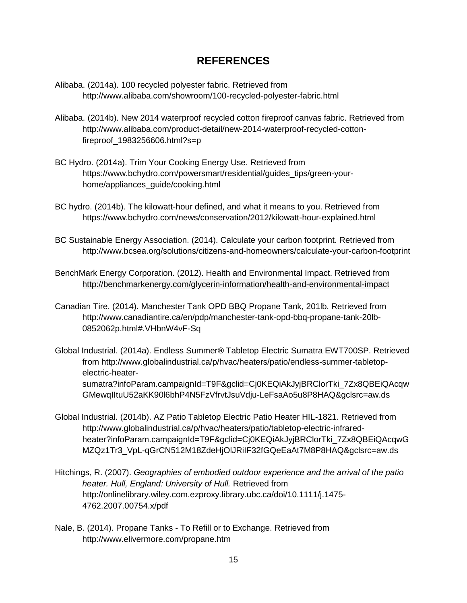### **REFERENCES**

- Alibaba. (2014a). 100 recycled polyester fabric. Retrieved from <http://www.alibaba.com/showroom/100-recycled-polyester-fabric.html>
- Alibaba. (2014b). New 2014 waterproof recycled cotton fireproof canvas fabric. Retrieved from [http://www.alibaba.com/product-detail/new-2014-waterproof-recycled-cotton](http://www.alibaba.com/product-detail/new-2014-waterproof-recycled-cotton-fireproof_1983256606.html?s=p)[fireproof\\_1983256606.html?s=p](http://www.alibaba.com/product-detail/new-2014-waterproof-recycled-cotton-fireproof_1983256606.html?s=p)
- BC Hydro. (2014a). Trim Your Cooking Energy Use. Retrieved from [https://www.bchydro.com/powersmart/residential/guides\\_tips/green-your](https://www.bchydro.com/powersmart/residential/guides_tips/green-your-home/appliances_guide/cooking.html)[home/appliances\\_guide/cooking.html](https://www.bchydro.com/powersmart/residential/guides_tips/green-your-home/appliances_guide/cooking.html)
- BC hydro. (2014b). The kilowatt-hour defined, and what it means to you. Retrieved from <https://www.bchydro.com/news/conservation/2012/kilowatt-hour-explained.html>
- BC Sustainable Energy Association. (2014). Calculate your carbon footprint. Retrieved from <http://www.bcsea.org/solutions/citizens-and-homeowners/calculate-your-carbon-footprint>
- BenchMark Energy Corporation. (2012). Health and Environmental Impact. Retrieved from <http://benchmarkenergy.com/glycerin-information/health-and-environmental-impact>
- Canadian Tire. (2014). Manchester Tank OPD BBQ Propane Tank, 201lb. Retrieved from [http://www.canadiantire.ca/en/pdp/manchester-tank-opd-bbq-propane-tank-20lb-](http://www.canadiantire.ca/en/pdp/manchester-tank-opd-bbq-propane-tank-20lb-0852062p.html#.VHbnW4vF-Sq)[0852062p.html#.VHbnW4vF-Sq](http://www.canadiantire.ca/en/pdp/manchester-tank-opd-bbq-propane-tank-20lb-0852062p.html#.VHbnW4vF-Sq)
- Global Industrial. (2014a). Endless Summer**®** Tabletop Electric Sumatra EWT700SP. Retrieved from http://www.globalindustrial.ca/p/hvac/heaters/patio/endless-summer-tabletopelectric-heatersumatra?infoParam.campaignId=T9F&gclid=Cj0KEQiAkJyjBRClorTki\_7Zx8QBEiQAcqw GMewqIItuU52aKK90l6bhP4N5FzVfrvtJsuVdju-LeFsaAo5u8P8HAQ&gclsrc=aw.ds
- Global Industrial. (2014b). AZ Patio Tabletop Electric Patio Heater HIL-1821. Retrieved from [http://www.globalindustrial.ca/p/hvac/heaters/patio/tabletop-electric-infrared](http://www.globalindustrial.ca/p/hvac/heaters/patio/tabletop-electric-infrared-heater?infoParam.campaignId=T9F&gclid=Cj0KEQiAkJyjBRClorTki_7Zx8QBEiQAcqwGMZQz1Tr3_VpL-qGrCN512M18ZdeHjOlJRiIF32fGQeEaAt7M8P8HAQ&gclsrc=aw.ds)[heater?infoParam.campaignId=T9F&gclid=Cj0KEQiAkJyjBRClorTki\\_7Zx8QBEiQAcqwG](http://www.globalindustrial.ca/p/hvac/heaters/patio/tabletop-electric-infrared-heater?infoParam.campaignId=T9F&gclid=Cj0KEQiAkJyjBRClorTki_7Zx8QBEiQAcqwGMZQz1Tr3_VpL-qGrCN512M18ZdeHjOlJRiIF32fGQeEaAt7M8P8HAQ&gclsrc=aw.ds) [MZQz1Tr3\\_VpL-qGrCN512M18ZdeHjOlJRiIF32fGQeEaAt7M8P8HAQ&gclsrc=aw.ds](http://www.globalindustrial.ca/p/hvac/heaters/patio/tabletop-electric-infrared-heater?infoParam.campaignId=T9F&gclid=Cj0KEQiAkJyjBRClorTki_7Zx8QBEiQAcqwGMZQz1Tr3_VpL-qGrCN512M18ZdeHjOlJRiIF32fGQeEaAt7M8P8HAQ&gclsrc=aw.ds)
- Hitchings, R. (2007). *Geographies of embodied outdoor experience and the arrival of the patio heater. Hull, England: University of Hull.* Retrieved from [http://onlinelibrary.wiley.com.ezproxy.library.ubc.ca/doi/10.1111/j.1475-](http://onlinelibrary.wiley.com.ezproxy.library.ubc.ca/doi/10.1111/j.1475-4762.2007.00754.x/pdf) [4762.2007.00754.x/pdf](http://onlinelibrary.wiley.com.ezproxy.library.ubc.ca/doi/10.1111/j.1475-4762.2007.00754.x/pdf)
- Nale, B. (2014). Propane Tanks To Refill or to Exchange. Retrieved from <http://www.elivermore.com/propane.htm>